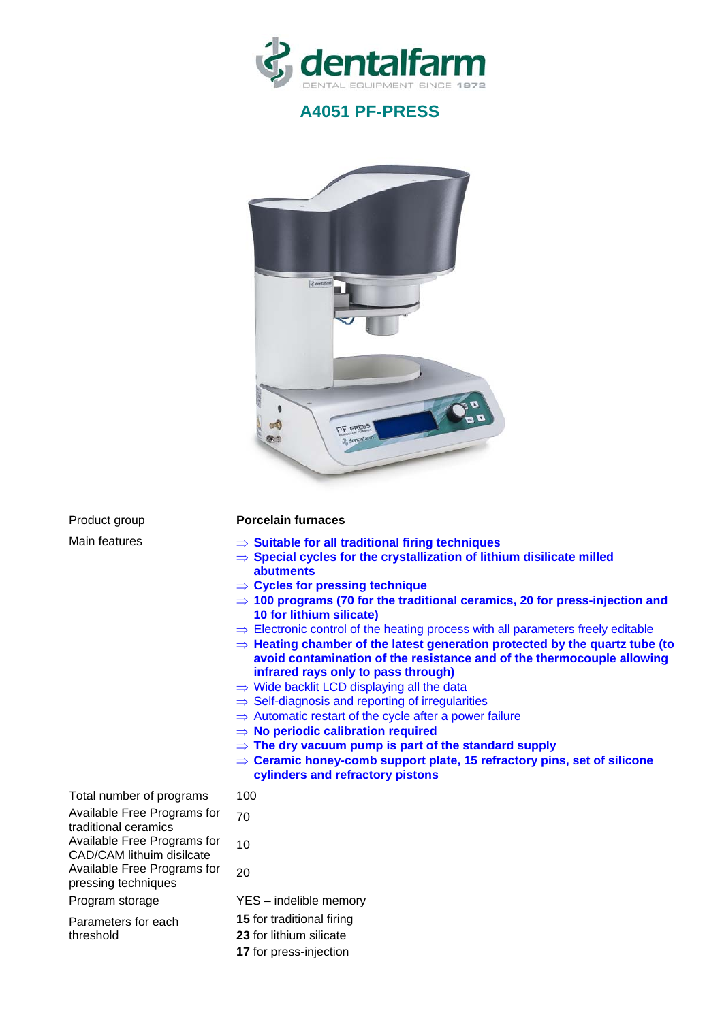

## **A4051 PF-PRESS**



## Product group **Porcelain furnaces**

- Main features ⇒ **Suitable for all traditional firing techniques** 
	- ⇒ **Special cycles for the crystallization of lithium disilicate milled abutments**
	- ⇒ **Cycles for pressing technique**
	- ⇒ **100 programs (70 for the traditional ceramics, 20 for press-injection and 10 for lithium silicate)**
	- $\Rightarrow$  Electronic control of the heating process with all parameters freely editable
	- ⇒ **Heating chamber of the latest generation protected by the quartz tube (to avoid contamination of the resistance and of the thermocouple allowing infrared rays only to pass through)**
	- ⇒ Wide backlit LCD displaying all the data
	- ⇒ Self-diagnosis and reporting of irregularities
	- $\Rightarrow$  Automatic restart of the cycle after a power failure
	- ⇒ **No periodic calibration required**
	- ⇒ **The dry vacuum pump is part of the standard supply**
	- ⇒ **Ceramic honey-comb support plate, 15 refractory pins, set of silicone cylinders and refractory pistons**

Total number of programs 100 Available Free Programs for traditional ceramics Available Free Programs for CAD/CAM lithuim disilcate Available Free Programs for pressing techniques

Parameters for each threshold

- 
- 70
- 10

20

- Program storage YES indelible memory
	- **15** for traditional firing
	- **23** for lithium silicate
	- **17** for press-injection